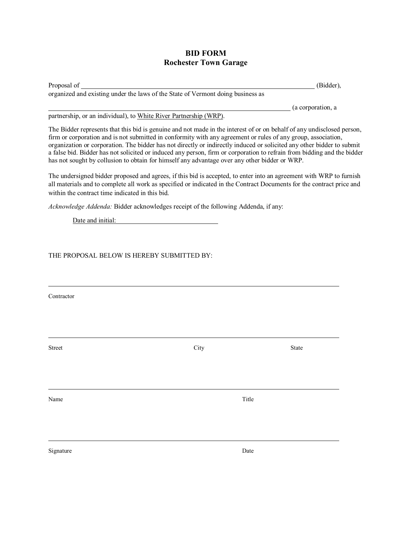## **BID FORM Rochester Town Garage**

Proposal of (Bidder), organized and existing under the laws of the State of Vermont doing business as

(a corporation, a

partnership, or an individual), to White River Partnership (WRP).

The Bidder represents that this bid is genuine and not made in the interest of or on behalf of any undisclosed person, firm or corporation and is not submitted in conformity with any agreement or rules of any group, association, organization or corporation. The bidder has not directly or indirectly induced or solicited any other bidder to submit a false bid. Bidder has not solicited or induced any person, firm or corporation to refrain from bidding and the bidder has not sought by collusion to obtain for himself any advantage over any other bidder or WRP.

The undersigned bidder proposed and agrees, if this bid is accepted, to enter into an agreement with WRP to furnish all materials and to complete all work as specified or indicated in the Contract Documents for the contract price and within the contract time indicated in this bid.

*Acknowledge Addenda:* Bidder acknowledges receipt of the following Addenda, if any:

Date and initial:

THE PROPOSAL BELOW IS HEREBY SUBMITTED BY:

Contractor

 $\overline{a}$ 

Street City State

 $\overline{a}$ 

Name Title

 $\overline{a}$ 

 $\overline{a}$ 

Signature Date